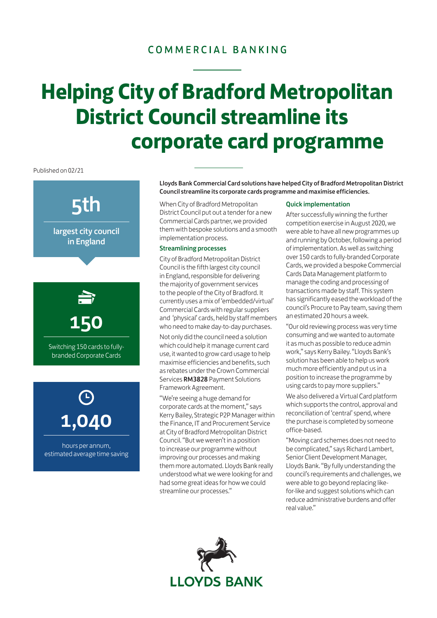### COMMERCIAL BANKING

# **District Council streamline its corporate card programme Helping City of Bradford Metropolitan**

Published on 02/21

## 5th

largest city council in England



Switching 150 cards to fullybranded Corporate Cards

1,040

hours per annum, estimated average time saving Lloyds Bank Commercial Card solutions have helped City of Bradford Metropolitan District Council streamline its corporate cards programme and maximise efficiencies.

When City of Bradford Metropolitan District Council put out a tender for a new Commercial Cards partner, we provided them with bespoke solutions and a smooth implementation process.

#### Streamlining processes

City of Bradford Metropolitan District Council is the fifth largest city council in England, responsible for delivering the majority of government services to the people of the City of Bradford. It currently uses a mix of 'embedded/virtual' Commercial Cards with regular suppliers and 'physical' cards, held by staff members who need to make day-to-day purchases.

Not only did the council need a solution which could help it manage current card use, it wanted to grow card usage to help maximise efficiencies and benefits, such as rebates under the Crown Commercial Services [RM3828](https://www.crowncommercial.gov.uk/agreements/RM3828) Payment Solutions Framework Agreement.

"We're seeing a huge demand for corporate cards at the moment," says Kerry Bailey, Strategic P2P Manager within the Finance, IT and Procurement Service at City of Bradford Metropolitan District Council. "But we weren't in a position to increase our programme without improving our processes and making them more automated. Lloyds Bank really understood what we were looking for and had some great ideas for how we could streamline our processes."

#### Quick implementation

After successfully winning the further competition exercise in August 2020, we were able to have all new programmes up and running by October, following a period of implementation. As well as switching over 150 cards to fully-branded Corporate Cards, we provided a bespoke Commercial Cards Data Management platform to manage the coding and processing of transactions made by staff. This system has significantly eased the workload of the council's Procure to Pay team, saving them an estimated 20 hours a week.

"Our old reviewing process was very time consuming and we wanted to automate it as much as possible to reduce admin work," says Kerry Bailey. "Lloyds Bank's solution has been able to help us work much more efficiently and put us in a position to increase the programme by using cards to pay more suppliers."

We also delivered a Virtual Card platform which supports the control, approval and reconciliation of 'central' spend, where the purchase is completed by someone office-based.

"Moving card schemes does not need to be complicated," says Richard Lambert, Senior Client Development Manager, Lloyds Bank. "By fully understanding the council's requirements and challenges, we were able to go beyond replacing likefor-like and suggest solutions which can reduce administrative burdens and offer real value."